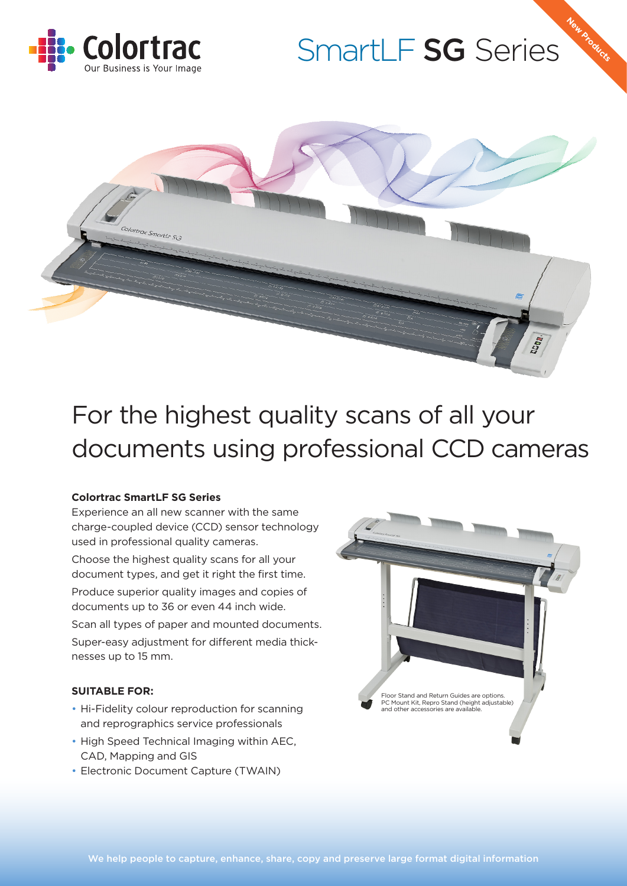

# SmartLF SG Series

**New Products**



## For the highest quality scans of all your documents using professional CCD cameras

#### **Colortrac SmartLF SG Series**

Experience an all new scanner with the same charge-coupled device (CCD) sensor technology used in professional quality cameras.

Choose the highest quality scans for all your document types, and get it right the first time.

Produce superior quality images and copies of documents up to 36 or even 44 inch wide.

Scan all types of paper and mounted documents. Super-easy adjustment for different media thicknesses up to 15 mm.

#### **SUITABLE FOR:**

- Hi-Fidelity colour reproduction for scanning and reprographics service professionals
- High Speed Technical Imaging within AEC, CAD, Mapping and GIS
- Electronic Document Capture (TWAIN)